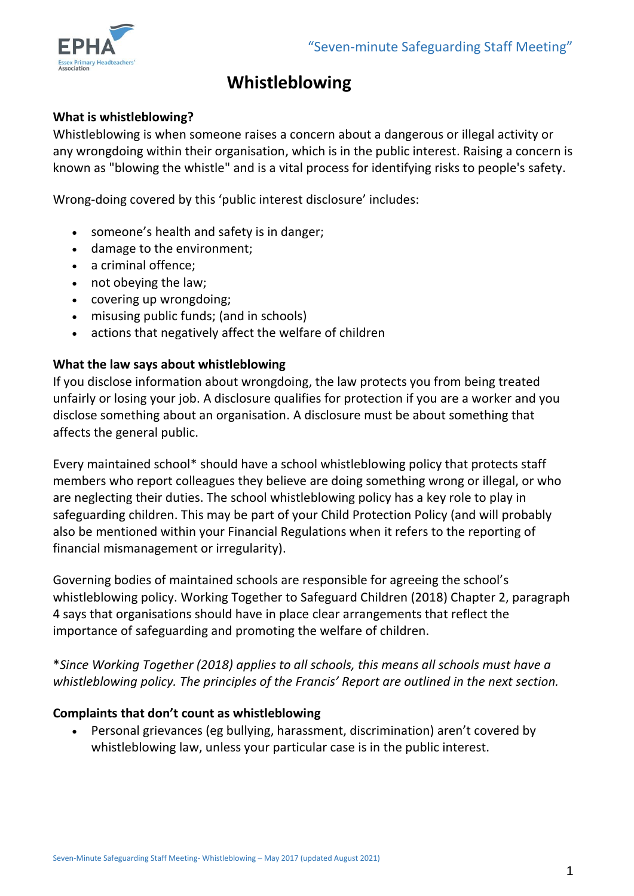

# **Whistleblowing**

#### **What is whistleblowing?**

Whistleblowing is when someone raises a concern about a dangerous or illegal activity or any wrongdoing within their organisation, which is in the public interest. Raising a concern is known as "blowing the whistle" and is a vital process for identifying risks to people's safety.

Wrong-doing covered by this 'public interest disclosure' includes:

- someone's health and safety is in danger;
- damage to the environment;
- a criminal offence;
- not obeying the law;
- covering up wrongdoing;
- misusing public funds; (and in schools)
- actions that negatively affect the welfare of children

#### **What the law says about whistleblowing**

If you disclose information about wrongdoing, the law protects you from being treated unfairly or losing your job. A disclosure qualifies for protection if you are a worker and you disclose something about an organisation. A disclosure must be about something that affects the general public.

Every maintained school\* should have a school whistleblowing policy that protects staff members who report colleagues they believe are doing something wrong or illegal, or who are neglecting their duties. The school whistleblowing policy has a key role to play in safeguarding children. This may be part of your Child Protection Policy (and will probably also be mentioned within your Financial Regulations when it refers to the reporting of financial mismanagement or irregularity).

Governing bodies of maintained schools are responsible for agreeing the school's whistleblowing policy. Working Together to Safeguard Children (2018) Chapter 2, paragraph 4 says that organisations should have in place clear arrangements that reflect the importance of safeguarding and promoting the welfare of children.

\**Since Working Together (2018) applies to all schools, this means all schools must have a whistleblowing policy. The principles of the Francis' Report are outlined in the next section.*

#### **Complaints that don't count as whistleblowing**

 Personal grievances (eg bullying, harassment, discrimination) aren't covered by whistleblowing law, unless your particular case is in the public interest.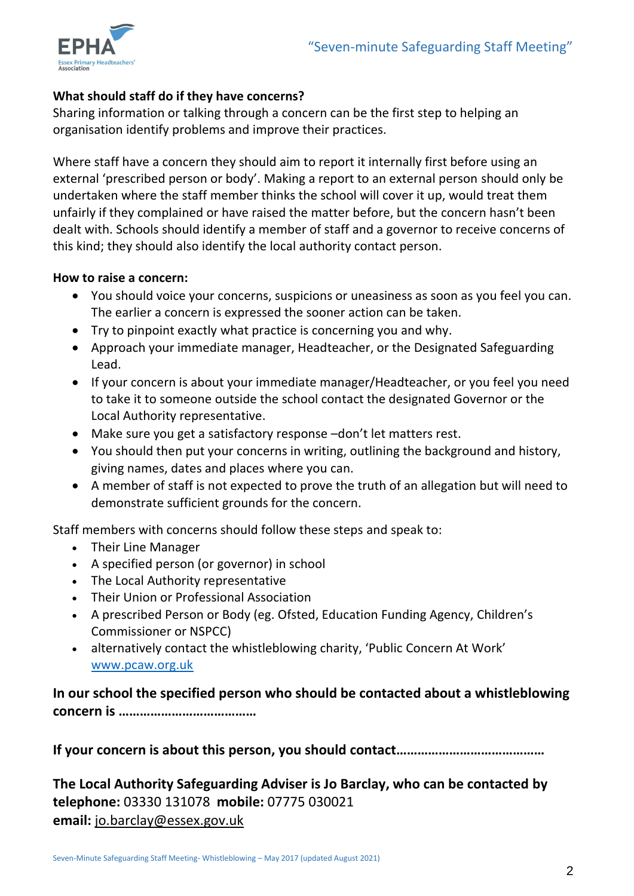

## **What should staff do if they have concerns?**

Sharing information or talking through a concern can be the first step to helping an organisation identify problems and improve their practices.

Where staff have a concern they should aim to report it internally first before using an external 'prescribed person or body'. Making a report to an external person should only be undertaken where the staff member thinks the school will cover it up, would treat them unfairly if they complained or have raised the matter before, but the concern hasn't been dealt with. Schools should identify a member of staff and a governor to receive concerns of this kind; they should also identify the local authority contact person.

#### **How to raise a concern:**

- You should voice your concerns, suspicions or uneasiness as soon as you feel you can. The earlier a concern is expressed the sooner action can be taken.
- Try to pinpoint exactly what practice is concerning you and why.
- Approach your immediate manager, Headteacher, or the Designated Safeguarding Lead.
- If your concern is about your immediate manager/Headteacher, or you feel you need to take it to someone outside the school contact the designated Governor or the Local Authority representative.
- Make sure you get a satisfactory response –don't let matters rest.
- You should then put your concerns in writing, outlining the background and history, giving names, dates and places where you can.
- A member of staff is not expected to prove the truth of an allegation but will need to demonstrate sufficient grounds for the concern.

Staff members with concerns should follow these steps and speak to:

- Their Line Manager
- A specified person (or governor) in school
- The Local Authority representative
- Their Union or Professional Association
- A prescribed Person or Body (eg. Ofsted, Education Funding Agency, Children's Commissioner or NSPCC)
- alternatively contact the whistleblowing charity, 'Public Concern At Work' [www.pcaw.org.uk](http://www.pcaw.org.uk/)

**In our school the specified person who should be contacted about a whistleblowing concern is …………………………………**

**If your concern is about this person, you should contact……………………………………**

**The Local Authority Safeguarding Adviser is Jo Barclay, who can be contacted by telephone:** 03330 131078 **mobile:** 07775 030021 **email:** [jo.barclay@essex.gov.uk](mailto:jo.barclay@essex.gov.uk)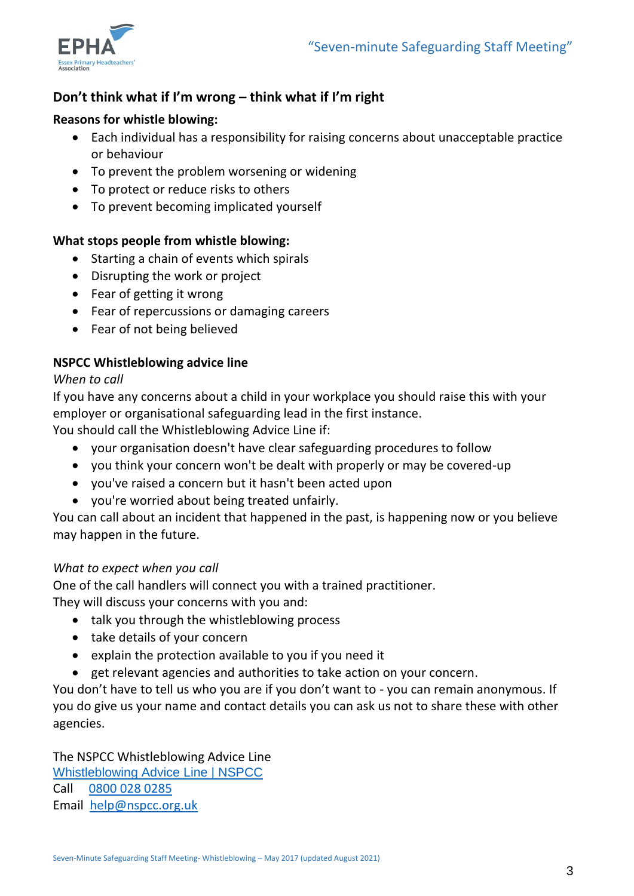

# **Don't think what if I'm wrong – think what if I'm right**

#### **Reasons for whistle blowing:**

- Each individual has a responsibility for raising concerns about unacceptable practice or behaviour
- To prevent the problem worsening or widening
- To protect or reduce risks to others
- To prevent becoming implicated yourself

#### **What stops people from whistle blowing:**

- Starting a chain of events which spirals
- Disrupting the work or project
- Fear of getting it wrong
- Fear of repercussions or damaging careers
- Fear of not being believed

## **NSPCC Whistleblowing advice line**

#### *When to call*

If you have any concerns about a child in your workplace you should raise this with your employer or organisational safeguarding lead in the first instance.

You should call the Whistleblowing Advice Line if:

- your organisation doesn't have clear safeguarding procedures to follow
- you think your concern won't be dealt with properly or may be covered-up
- you've raised a concern but it hasn't been acted upon
- you're worried about being treated unfairly.

You can call about an incident that happened in the past, is happening now or you believe may happen in the future.

#### *What to expect when you call*

One of the call handlers will connect you with a trained practitioner. They will discuss your concerns with you and:

- talk you through the whistleblowing process
- take details of your concern
- explain the protection available to you if you need it
- get relevant agencies and authorities to take action on your concern.

You don't have to tell us who you are if you don't want to - you can remain anonymous. If you do give us your name and contact details you can ask us not to share these with other agencies.

The NSPCC Whistleblowing Advice Line [Whistleblowing Advice Line | NSPCC](https://www.nspcc.org.uk/keeping-children-safe/reporting-abuse/dedicated-helplines/whistleblowing-advice-line/) Call [0800 028 0285](tel:0800%20028%200285) Email [help@nspcc.org.uk](mailto:help@nspcc.org.uk)